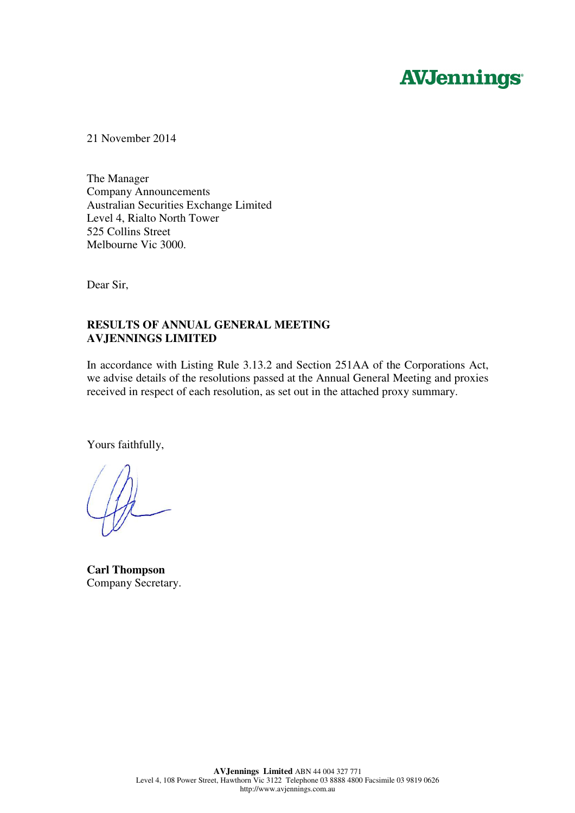# **AVJennings**

21 November 2014

The Manager Company Announcements Australian Securities Exchange Limited Level 4, Rialto North Tower 525 Collins Street Melbourne Vic 3000.

Dear Sir,

# **RESULTS OF ANNUAL GENERAL MEETING AVJENNINGS LIMITED**

In accordance with Listing Rule 3.13.2 and Section 251AA of the Corporations Act, we advise details of the resolutions passed at the Annual General Meeting and proxies received in respect of each resolution, as set out in the attached proxy summary.

Yours faithfully,

**Carl Thompson**  Company Secretary.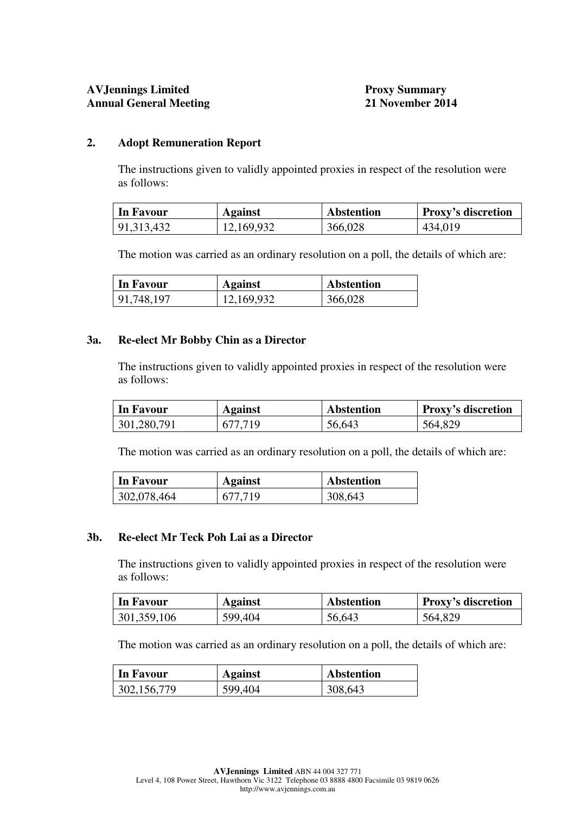# **AVJennings Limited Proxy Summary Annual General Meeting 21 November 2014**

# **2. Adopt Remuneration Report**

 The instructions given to validly appointed proxies in respect of the resolution were as follows:

| In Favour  | <b>Against</b> | <b>Abstention</b> | <b>Proxy's discretion</b> |
|------------|----------------|-------------------|---------------------------|
| 91,313,432 | 12,169,932     | 366,028           | 434,019                   |

The motion was carried as an ordinary resolution on a poll, the details of which are:

| In Favour  | <b>Against</b> | <b>Abstention</b> |
|------------|----------------|-------------------|
| 91,748,197 | 12,169,932     | 366,028           |

#### **3a. Re-elect Mr Bobby Chin as a Director**

 The instructions given to validly appointed proxies in respect of the resolution were as follows:

| In Favour   | <b>Against</b> | <b>Abstention</b> | <b>Proxy's discretion</b> |
|-------------|----------------|-------------------|---------------------------|
| 301,280,791 | 677.719        | 56,643            | 564,829                   |

The motion was carried as an ordinary resolution on a poll, the details of which are:

| In Favour   | <b>Against</b> | <b>Abstention</b> |
|-------------|----------------|-------------------|
| 302,078,464 | 677.719        | 308,643           |

#### **3b. Re-elect Mr Teck Poh Lai as a Director**

 The instructions given to validly appointed proxies in respect of the resolution were as follows:

| In Favour   | Against | <b>Abstention</b> | <b>Proxy's discretion</b> |
|-------------|---------|-------------------|---------------------------|
| 301,359,106 | 599,404 | 56,643            | 564,829                   |

The motion was carried as an ordinary resolution on a poll, the details of which are:

| In Favour     | <b>Against</b> | <b>Abstention</b> |
|---------------|----------------|-------------------|
| 302, 156, 779 | 599,404        | 308,643           |